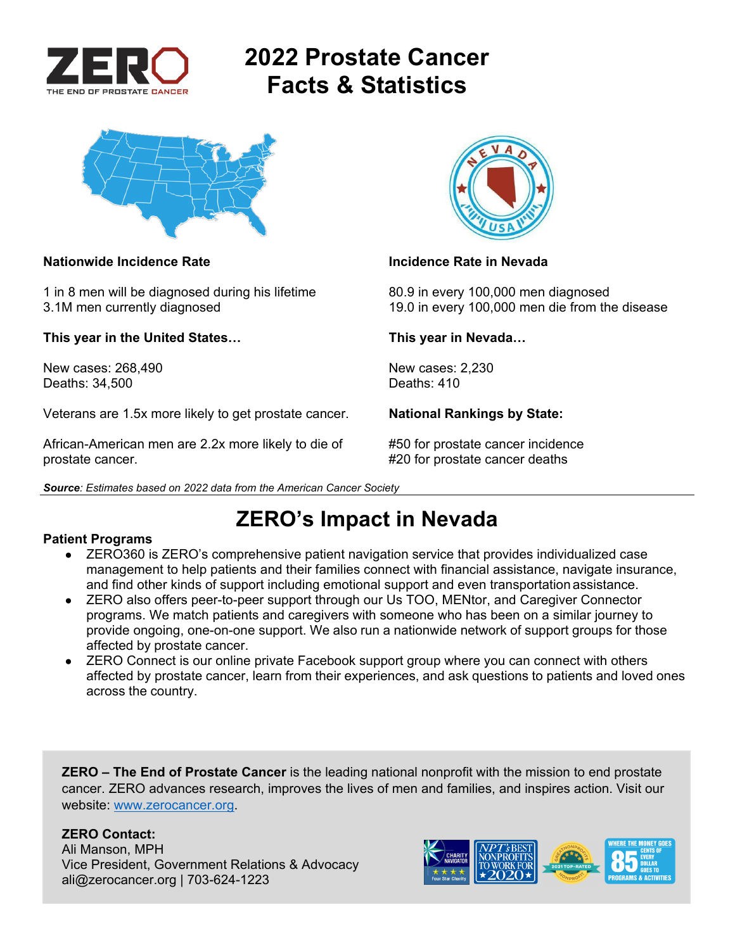

# **2022 Prostate Cancer Facts & Statistics**



### **Nationwide Incidence Rate Incidence Rate in Nevada**

1 in 8 men will be diagnosed during his lifetime 80.9 in every 100,000 men diagnosed

**This year in the United States… This year in Nevada…** 

New cases: 268,490 New cases: 2,230 Deaths: 34,500

Veterans are 1.5x more likely to get prostate cancer. **National Rankings by State:** 

African-American men are 2.2x more likely to die of #50 for prostate cancer incidence prostate cancer. #20 for prostate cancer deaths

*Source: Estimates based on 2022 data from the American Cancer Society* 



3.1M men currently diagnosed 19.0 in every 100,000 men die from the disease

## **ZERO's Impact in Nevada**

### **Patient Programs**

- ZERO360 is ZERO's comprehensive patient navigation service that provides individualized case management to help patients and their families connect with financial assistance, navigate insurance, and find other kinds of support including emotional support and even transportation assistance.
- ZERO also offers peer-to-peer support through our Us TOO, MENtor, and Caregiver Connector programs. We match patients and caregivers with someone who has been on a similar journey to provide ongoing, one-on-one support. We also run a nationwide network of support groups for those affected by prostate cancer.
- ZERO Connect is our online private Facebook support group where you can connect with others affected by prostate cancer, learn from their experiences, and ask questions to patients and loved ones across the country.

**ZERO – The End of Prostate Cancer** is the leading national nonprofit with the mission to end prostate cancer. ZERO advances research, improves the lives of men and families, and inspires action. Visit our website: www.zerocancer.org.

### **ZERO Contact:**

Ali Manson, MPH Vice President, Government Relations & Advocacy ali@zerocancer.org | 703-624-1223